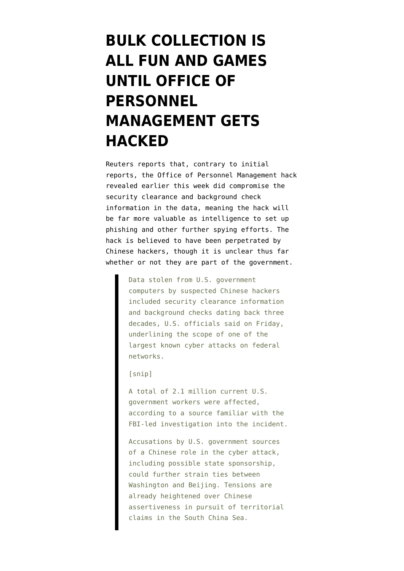## **[BULK COLLECTION IS](https://www.emptywheel.net/2015/06/06/american-national-security-types-discover-the-drawbacks-of-bulk-collection/) [ALL FUN AND GAMES](https://www.emptywheel.net/2015/06/06/american-national-security-types-discover-the-drawbacks-of-bulk-collection/) [UNTIL OFFICE OF](https://www.emptywheel.net/2015/06/06/american-national-security-types-discover-the-drawbacks-of-bulk-collection/) [PERSONNEL](https://www.emptywheel.net/2015/06/06/american-national-security-types-discover-the-drawbacks-of-bulk-collection/) [MANAGEMENT GETS](https://www.emptywheel.net/2015/06/06/american-national-security-types-discover-the-drawbacks-of-bulk-collection/) [HACKED](https://www.emptywheel.net/2015/06/06/american-national-security-types-discover-the-drawbacks-of-bulk-collection/)**

Reuters [reports](http://www.reuters.com/article/2015/06/06/us-cybersecurity-usa-idUSKBN0OL1V320150606) that, contrary to initial reports, the Office of Personnel Management hack revealed earlier this week did compromise the security clearance and background check information in the data, meaning the hack will be far more valuable as intelligence to set up phishing and other further spying efforts. The hack is believed to have been perpetrated by Chinese hackers, though it is unclear thus far whether or not they are part of the government.

> Data stolen from U.S. government computers by suspected Chinese hackers included security clearance information and background checks dating back three decades, U.S. officials said on Friday, underlining the scope of one of the largest known cyber attacks on federal networks.

[snip]

A total of 2.1 million current U.S. government workers were affected, according to a source familiar with the FBI-led investigation into the incident.

Accusations by U.S. government sources of a Chinese role in the cyber attack, including possible state sponsorship, could further strain ties between Washington and Beijing. Tensions are already heightened over Chinese assertiveness in pursuit of territorial claims in the South China Sea.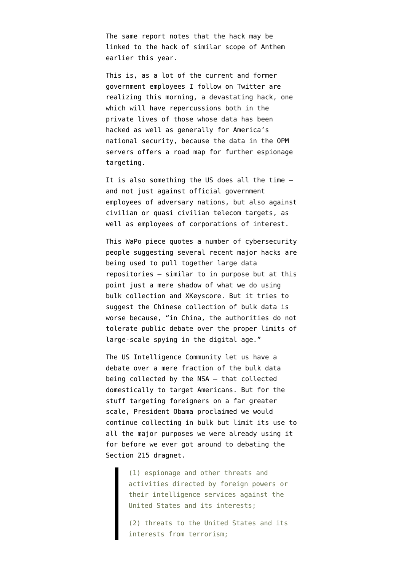The same report notes that the hack may be linked to the hack of similar scope of Anthem earlier this year.

This is, as a lot of the current and former government employees I follow on Twitter are realizing this morning, a devastating hack, one which will have repercussions both in the private lives of those whose data has been hacked as well as generally for America's national security, because the data in the OPM servers offers a road map for further espionage targeting.

It is also something the US does all the time and not just against official government employees of adversary nations, but also against civilian or quasi civilian telecom targets, as well as employees of corporations of interest.

This WaPo piece [quotes](http://www.washingtonpost.com/world/national-security/in-a-series-of-hacks-china-appears-to-building-a-database-on-americans/2015/06/05/d2af51fa-0ba3-11e5-95fd-d580f1c5d44e_story.html?postshare=3721433593299684) a number of cybersecurity people suggesting several recent major hacks are being used to pull together large data repositories — similar to in purpose but at this point just a mere shadow of what we do using bulk collection and XKeyscore. But it tries to suggest the Chinese collection of bulk data is worse because, "in China, the authorities do not tolerate public debate over the proper limits of large-scale spying in the digital age."

The US Intelligence Community let us have a debate over a mere fraction of the bulk data being collected by the NSA — that collected domestically to target Americans. But for the stuff targeting foreigners on a far greater scale, President Obama [proclaimed](https://www.whitehouse.gov/the-press-office/2014/01/17/presidential-policy-directive-signals-intelligence-activities) we would continue collecting in bulk but limit its use to all the major purposes we were already using it for before we ever got around to debating the Section 215 dragnet.

> (1) espionage and other threats and activities directed by foreign powers or their intelligence services against the United States and its interests;

(2) threats to the United States and its interests from terrorism;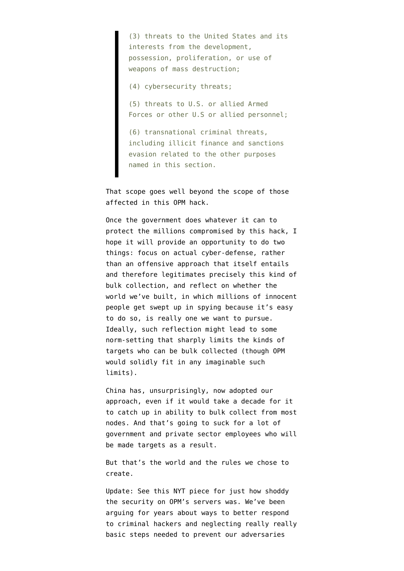(3) threats to the United States and its interests from the development, possession, proliferation, or use of weapons of mass destruction;

(4) cybersecurity threats;

(5) threats to U.S. or allied Armed Forces or other U.S or allied personnel;

(6) transnational criminal threats, including illicit finance and sanctions evasion related to the other purposes named in this section.

That scope goes well beyond the scope of those affected in this OPM hack.

Once the government does whatever it can to protect the millions compromised by this hack, I hope it will provide an opportunity to do two things: focus on actual cyber-defense, rather than an offensive approach that itself entails and therefore legitimates precisely this kind of bulk collection, and reflect on whether the world we've built, in which millions of innocent people get swept up in spying because it's easy to do so, is really one we want to pursue. Ideally, such reflection might lead to some norm-setting that sharply limits the kinds of targets who can be bulk collected (though OPM would solidly fit in any imaginable such limits).

China has, unsurprisingly, now adopted our approach, even if it would take a decade for it to catch up in ability to bulk collect from most nodes. And that's going to suck for a lot of government and private sector employees who will be made targets as a result.

But that's the world and the rules we chose to create.

Update: See this [NYT piece](http://mobile.nytimes.com/2015/06/06/us/chinese-hackers-may-be-behind-anthem-premera-attacks.html?emc=edit_th_20150606&nl=todaysheadlines&nlid=67811143&_r=0&referrer=) for just how shoddy the security on OPM's servers was. We've been arguing for years about ways to better respond to criminal hackers and neglecting really really basic steps needed to prevent our adversaries